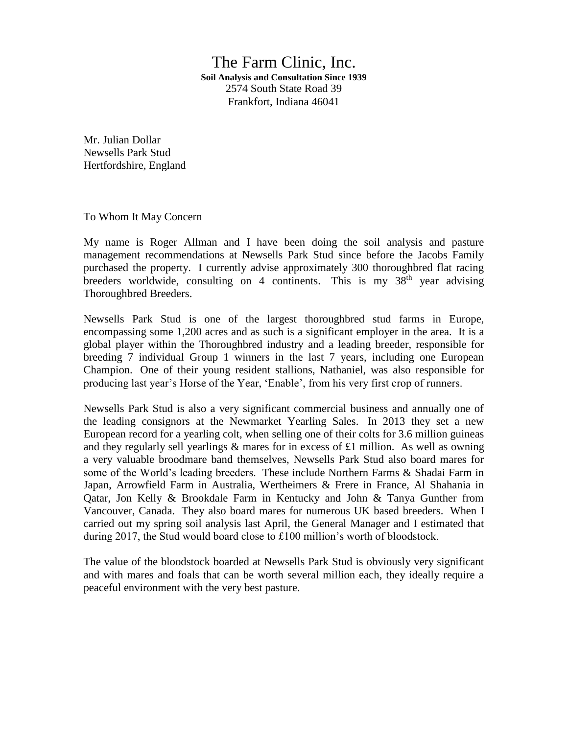The Farm Clinic, Inc. **Soil Analysis and Consultation Since 1939** 2574 South State Road 39 Frankfort, Indiana 46041

Mr. Julian Dollar Newsells Park Stud Hertfordshire, England

To Whom It May Concern

My name is Roger Allman and I have been doing the soil analysis and pasture management recommendations at Newsells Park Stud since before the Jacobs Family purchased the property. I currently advise approximately 300 thoroughbred flat racing breeders worldwide, consulting on 4 continents. This is my  $38<sup>th</sup>$  year advising Thoroughbred Breeders.

Newsells Park Stud is one of the largest thoroughbred stud farms in Europe, encompassing some 1,200 acres and as such is a significant employer in the area. It is a global player within the Thoroughbred industry and a leading breeder, responsible for breeding 7 individual Group 1 winners in the last 7 years, including one European Champion. One of their young resident stallions, Nathaniel, was also responsible for producing last year's Horse of the Year, 'Enable', from his very first crop of runners.

Newsells Park Stud is also a very significant commercial business and annually one of the leading consignors at the Newmarket Yearling Sales. In 2013 they set a new European record for a yearling colt, when selling one of their colts for 3.6 million guineas and they regularly sell yearlings  $\&$  mares for in excess of £1 million. As well as owning a very valuable broodmare band themselves, Newsells Park Stud also board mares for some of the World's leading breeders. These include Northern Farms & Shadai Farm in Japan, Arrowfield Farm in Australia, Wertheimers & Frere in France, Al Shahania in Qatar, Jon Kelly & Brookdale Farm in Kentucky and John & Tanya Gunther from Vancouver, Canada. They also board mares for numerous UK based breeders. When I carried out my spring soil analysis last April, the General Manager and I estimated that during 2017, the Stud would board close to £100 million's worth of bloodstock.

The value of the bloodstock boarded at Newsells Park Stud is obviously very significant and with mares and foals that can be worth several million each, they ideally require a peaceful environment with the very best pasture.